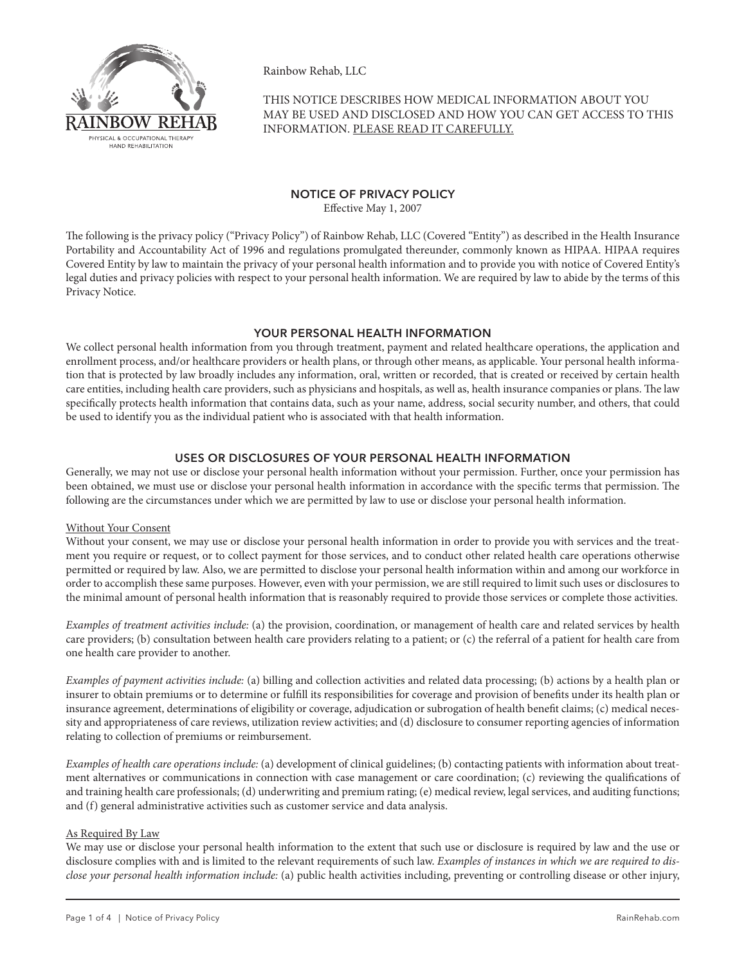

Rainbow Rehab, LLC

THIS NOTICE DESCRIBES HOW MEDICAL INFORMATION ABOUT YOU MAY BE USED AND DISCLOSED AND HOW YOU CAN GET ACCESS TO THIS INFORMATION. PLEASE READ IT CAREFULLY.

# NOTICE OF PRIVACY POLICY

Effective May 1, 2007

The following is the privacy policy ("Privacy Policy") of Rainbow Rehab, LLC (Covered "Entity") as described in the Health Insurance Portability and Accountability Act of 1996 and regulations promulgated thereunder, commonly known as HIPAA. HIPAA requires Covered Entity by law to maintain the privacy of your personal health information and to provide you with notice of Covered Entity's legal duties and privacy policies with respect to your personal health information. We are required by law to abide by the terms of this Privacy Notice.

# YOUR PERSONAL HEALTH INFORMATION

We collect personal health information from you through treatment, payment and related healthcare operations, the application and enrollment process, and/or healthcare providers or health plans, or through other means, as applicable. Your personal health information that is protected by law broadly includes any information, oral, written or recorded, that is created or received by certain health care entities, including health care providers, such as physicians and hospitals, as well as, health insurance companies or plans. The law specifically protects health information that contains data, such as your name, address, social security number, and others, that could be used to identify you as the individual patient who is associated with that health information.

# Uses or Disclosures of Your Personal Health Information

Generally, we may not use or disclose your personal health information without your permission. Further, once your permission has been obtained, we must use or disclose your personal health information in accordance with the specific terms that permission. The following are the circumstances under which we are permitted by law to use or disclose your personal health information.

# Without Your Consent

Without your consent, we may use or disclose your personal health information in order to provide you with services and the treatment you require or request, or to collect payment for those services, and to conduct other related health care operations otherwise permitted or required by law. Also, we are permitted to disclose your personal health information within and among our workforce in order to accomplish these same purposes. However, even with your permission, we are still required to limit such uses or disclosures to the minimal amount of personal health information that is reasonably required to provide those services or complete those activities.

*Examples of treatment activities include:* (a) the provision, coordination, or management of health care and related services by health care providers; (b) consultation between health care providers relating to a patient; or (c) the referral of a patient for health care from one health care provider to another.

*Examples of payment activities include:* (a) billing and collection activities and related data processing; (b) actions by a health plan or insurer to obtain premiums or to determine or fulfill its responsibilities for coverage and provision of benefits under its health plan or insurance agreement, determinations of eligibility or coverage, adjudication or subrogation of health benefit claims; (c) medical necessity and appropriateness of care reviews, utilization review activities; and (d) disclosure to consumer reporting agencies of information relating to collection of premiums or reimbursement.

*Examples of health care operations include:* (a) development of clinical guidelines; (b) contacting patients with information about treatment alternatives or communications in connection with case management or care coordination; (c) reviewing the qualifications of and training health care professionals; (d) underwriting and premium rating; (e) medical review, legal services, and auditing functions; and (f) general administrative activities such as customer service and data analysis.

# As Required By Law

We may use or disclose your personal health information to the extent that such use or disclosure is required by law and the use or disclosure complies with and is limited to the relevant requirements of such law. *Examples of instances in which we are required to disclose your personal health information include:* (a) public health activities including, preventing or controlling disease or other injury,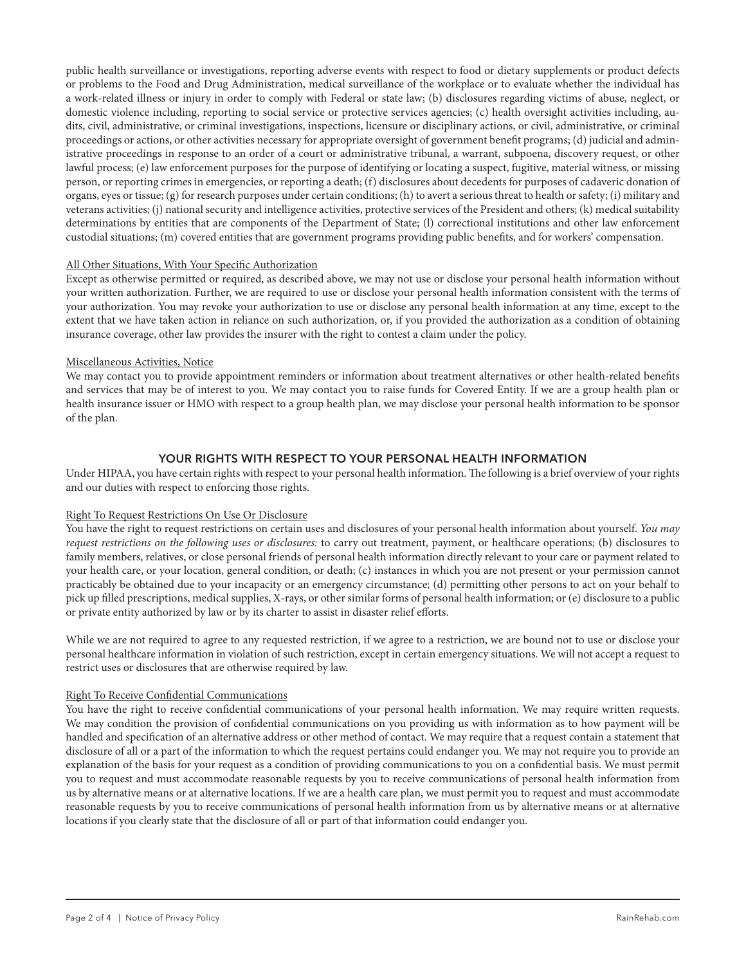public health surveillance or investigations, reporting adverse events with respect to food or dietary supplements or product defects or problems to the Food and Drug Administration, medical surveillance of the workplace or to evaluate whether the individual has a work-related illness or injury in order to comply with Federal or state law; (b) disclosures regarding victims of abuse, neglect, or domestic violence including, reporting to social service or protective services agencies; (c) health oversight activities including, audits, civil, administrative, or criminal investigations, inspections, licensure or disciplinary actions, or civil, administrative, or criminal proceedings or actions, or other activities necessary for appropriate oversight of government benefit programs; (d) judicial and administrative proceedings in response to an order of a court or administrative tribunal, a warrant, subpoena, discovery request, or other lawful process; (e) law enforcement purposes for the purpose of identifying or locating a suspect, fugitive, material witness, or missing person, or reporting crimes in emergencies, or reporting a death; (f) disclosures about decedents for purposes of cadaveric donation of organs, eyes or tissue; (g) for research purposes under certain conditions; (h) to avert a serious threat to health or safety; (i) military and veterans activities; (j) national security and intelligence activities, protective services of the President and others; (k) medical suitability determinations by entities that are components of the Department of State; (l) correctional institutions and other law enforcement custodial situations; (m) covered entities that are government programs providing public benefits, and for workers' compensation.

#### All Other Situations, With Your Specific Authorization

Except as otherwise permitted or required, as described above, we may not use or disclose your personal health information without your written authorization. Further, we are required to use or disclose your personal health information consistent with the terms of your authorization. You may revoke your authorization to use or disclose any personal health information at any time, except to the extent that we have taken action in reliance on such authorization, or, if you provided the authorization as a condition of obtaining insurance coverage, other law provides the insurer with the right to contest a claim under the policy.

#### Miscellaneous Activities, Notice

We may contact you to provide appointment reminders or information about treatment alternatives or other health-related benefits and services that may be of interest to you. We may contact you to raise funds for Covered Entity. If we are a group health plan or health insurance issuer or HMO with respect to a group health plan, we may disclose your personal health information to be sponsor of the plan.

# Your Rights With Respect to Your Personal Health Information

Under HIPAA, you have certain rights with respect to your personal health information. The following is a brief overview of your rights and our duties with respect to enforcing those rights.

### Right To Request Restrictions On Use Or Disclosure

You have the right to request restrictions on certain uses and disclosures of your personal health information about yourself. *You may request restrictions on the following uses or disclosures:* to carry out treatment, payment, or healthcare operations; (b) disclosures to family members, relatives, or close personal friends of personal health information directly relevant to your care or payment related to your health care, or your location, general condition, or death; (c) instances in which you are not present or your permission cannot practicably be obtained due to your incapacity or an emergency circumstance; (d) permitting other persons to act on your behalf to pick up filled prescriptions, medical supplies, X-rays, or other similar forms of personal health information; or (e) disclosure to a public or private entity authorized by law or by its charter to assist in disaster relief efforts.

While we are not required to agree to any requested restriction, if we agree to a restriction, we are bound not to use or disclose your personal healthcare information in violation of such restriction, except in certain emergency situations. We will not accept a request to restrict uses or disclosures that are otherwise required by law.

#### Right To Receive Confidential Communications

You have the right to receive confidential communications of your personal health information. We may require written requests. We may condition the provision of confidential communications on you providing us with information as to how payment will be handled and specification of an alternative address or other method of contact. We may require that a request contain a statement that disclosure of all or a part of the information to which the request pertains could endanger you. We may not require you to provide an explanation of the basis for your request as a condition of providing communications to you on a confidential basis. We must permit you to request and must accommodate reasonable requests by you to receive communications of personal health information from us by alternative means or at alternative locations. If we are a health care plan, we must permit you to request and must accommodate reasonable requests by you to receive communications of personal health information from us by alternative means or at alternative locations if you clearly state that the disclosure of all or part of that information could endanger you.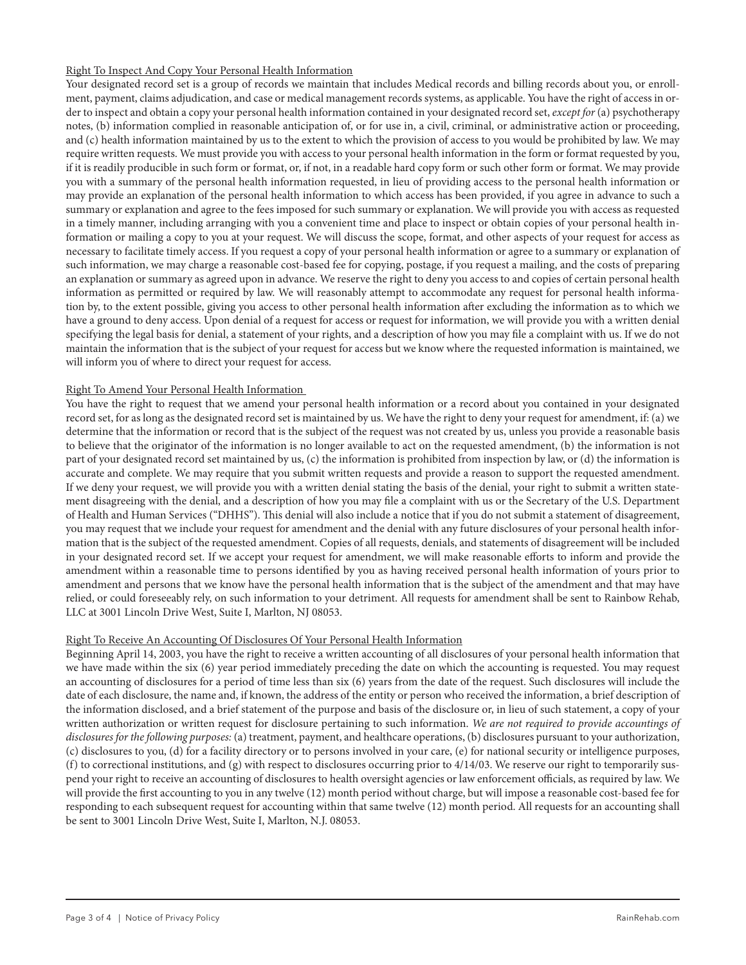### Right To Inspect And Copy Your Personal Health Information

Your designated record set is a group of records we maintain that includes Medical records and billing records about you, or enrollment, payment, claims adjudication, and case or medical management records systems, as applicable. You have the right of access in order to inspect and obtain a copy your personal health information contained in your designated record set, *except for* (a) psychotherapy notes, (b) information complied in reasonable anticipation of, or for use in, a civil, criminal, or administrative action or proceeding, and (c) health information maintained by us to the extent to which the provision of access to you would be prohibited by law. We may require written requests. We must provide you with access to your personal health information in the form or format requested by you, if it is readily producible in such form or format, or, if not, in a readable hard copy form or such other form or format. We may provide you with a summary of the personal health information requested, in lieu of providing access to the personal health information or may provide an explanation of the personal health information to which access has been provided, if you agree in advance to such a summary or explanation and agree to the fees imposed for such summary or explanation. We will provide you with access as requested in a timely manner, including arranging with you a convenient time and place to inspect or obtain copies of your personal health information or mailing a copy to you at your request. We will discuss the scope, format, and other aspects of your request for access as necessary to facilitate timely access. If you request a copy of your personal health information or agree to a summary or explanation of such information, we may charge a reasonable cost-based fee for copying, postage, if you request a mailing, and the costs of preparing an explanation or summary as agreed upon in advance. We reserve the right to deny you access to and copies of certain personal health information as permitted or required by law. We will reasonably attempt to accommodate any request for personal health information by, to the extent possible, giving you access to other personal health information after excluding the information as to which we have a ground to deny access. Upon denial of a request for access or request for information, we will provide you with a written denial specifying the legal basis for denial, a statement of your rights, and a description of how you may file a complaint with us. If we do not maintain the information that is the subject of your request for access but we know where the requested information is maintained, we will inform you of where to direct your request for access.

#### Right To Amend Your Personal Health Information

You have the right to request that we amend your personal health information or a record about you contained in your designated record set, for as long as the designated record set is maintained by us. We have the right to deny your request for amendment, if: (a) we determine that the information or record that is the subject of the request was not created by us, unless you provide a reasonable basis to believe that the originator of the information is no longer available to act on the requested amendment, (b) the information is not part of your designated record set maintained by us, (c) the information is prohibited from inspection by law, or (d) the information is accurate and complete. We may require that you submit written requests and provide a reason to support the requested amendment. If we deny your request, we will provide you with a written denial stating the basis of the denial, your right to submit a written statement disagreeing with the denial, and a description of how you may file a complaint with us or the Secretary of the U.S. Department of Health and Human Services ("DHHS"). This denial will also include a notice that if you do not submit a statement of disagreement, you may request that we include your request for amendment and the denial with any future disclosures of your personal health information that is the subject of the requested amendment. Copies of all requests, denials, and statements of disagreement will be included in your designated record set. If we accept your request for amendment, we will make reasonable efforts to inform and provide the amendment within a reasonable time to persons identified by you as having received personal health information of yours prior to amendment and persons that we know have the personal health information that is the subject of the amendment and that may have relied, or could foreseeably rely, on such information to your detriment. All requests for amendment shall be sent to Rainbow Rehab, LLC at 3001 Lincoln Drive West, Suite I, Marlton, NJ 08053.

#### Right To Receive An Accounting Of Disclosures Of Your Personal Health Information

Beginning April 14, 2003, you have the right to receive a written accounting of all disclosures of your personal health information that we have made within the six (6) year period immediately preceding the date on which the accounting is requested. You may request an accounting of disclosures for a period of time less than six (6) years from the date of the request. Such disclosures will include the date of each disclosure, the name and, if known, the address of the entity or person who received the information, a brief description of the information disclosed, and a brief statement of the purpose and basis of the disclosure or, in lieu of such statement, a copy of your written authorization or written request for disclosure pertaining to such information. *We are not required to provide accountings of disclosures for the following purposes:* (a) treatment, payment, and healthcare operations, (b) disclosures pursuant to your authorization, (c) disclosures to you, (d) for a facility directory or to persons involved in your care, (e) for national security or intelligence purposes, (f) to correctional institutions, and (g) with respect to disclosures occurring prior to  $4/14/03$ . We reserve our right to temporarily suspend your right to receive an accounting of disclosures to health oversight agencies or law enforcement officials, as required by law. We will provide the first accounting to you in any twelve (12) month period without charge, but will impose a reasonable cost-based fee for responding to each subsequent request for accounting within that same twelve (12) month period. All requests for an accounting shall be sent to 3001 Lincoln Drive West, Suite I, Marlton, N.J. 08053.